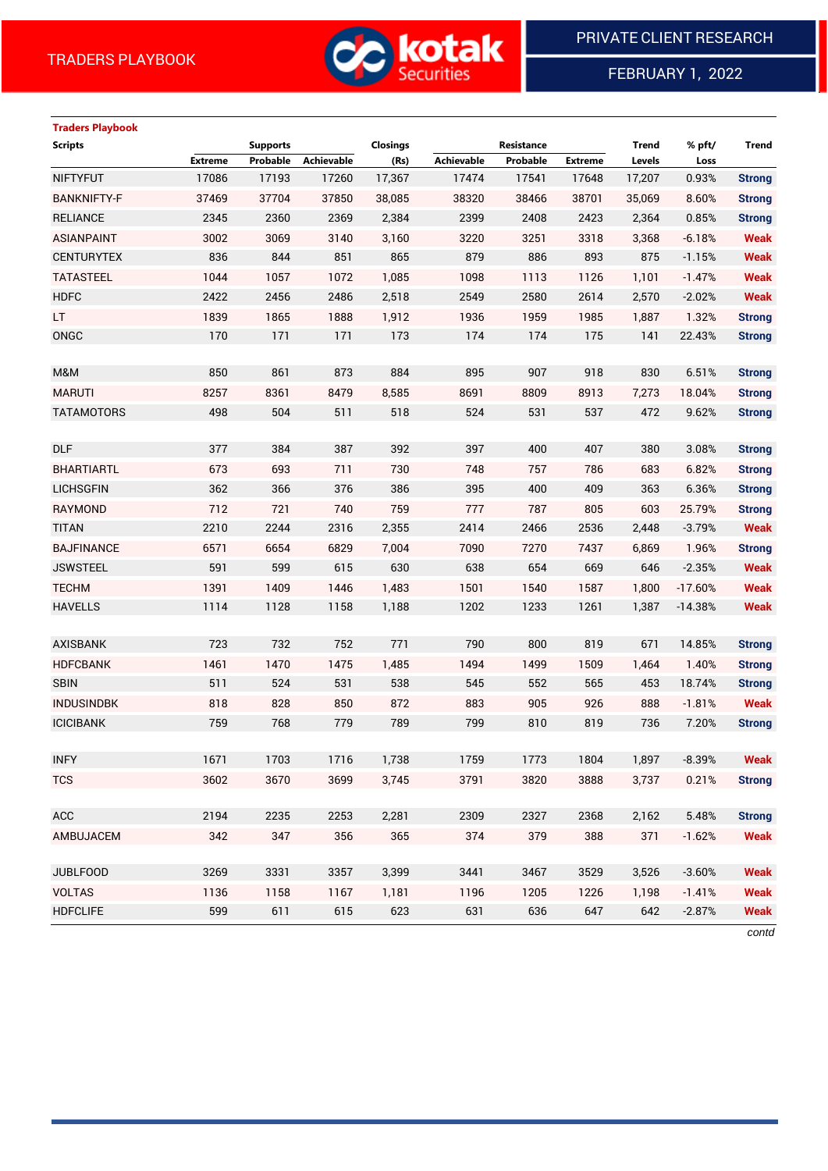

FEBRUARY 1, 2022

# **Traders Playbook**

| <b>Scripts</b>     |                | <b>Supports</b> |            | Closings |            | Resistance |                | <b>Trend</b> | % pft/    | <b>Trend</b>  |
|--------------------|----------------|-----------------|------------|----------|------------|------------|----------------|--------------|-----------|---------------|
|                    | <b>Extreme</b> | Probable        | Achievable | (Rs)     | Achievable | Probable   | <b>Extreme</b> | Levels       | Loss      |               |
| <b>NIFTYFUT</b>    | 17086          | 17193           | 17260      | 17,367   | 17474      | 17541      | 17648          | 17,207       | 0.93%     | <b>Strong</b> |
| <b>BANKNIFTY-F</b> | 37469          | 37704           | 37850      | 38,085   | 38320      | 38466      | 38701          | 35,069       | 8.60%     | <b>Strong</b> |
| <b>RELIANCE</b>    | 2345           | 2360            | 2369       | 2,384    | 2399       | 2408       | 2423           | 2,364        | 0.85%     | <b>Strong</b> |
| <b>ASIANPAINT</b>  | 3002           | 3069            | 3140       | 3,160    | 3220       | 3251       | 3318           | 3,368        | $-6.18%$  | <b>Weak</b>   |
| <b>CENTURYTEX</b>  | 836            | 844             | 851        | 865      | 879        | 886        | 893            | 875          | $-1.15%$  | <b>Weak</b>   |
| <b>TATASTEEL</b>   | 1044           | 1057            | 1072       | 1,085    | 1098       | 1113       | 1126           | 1,101        | $-1.47%$  | <b>Weak</b>   |
| <b>HDFC</b>        | 2422           | 2456            | 2486       | 2,518    | 2549       | 2580       | 2614           | 2,570        | $-2.02%$  | <b>Weak</b>   |
| <b>LT</b>          | 1839           | 1865            | 1888       | 1,912    | 1936       | 1959       | 1985           | 1,887        | 1.32%     | <b>Strong</b> |
| ONGC               | 170            | 171             | 171        | 173      | 174        | 174        | 175            | 141          | 22.43%    | <b>Strong</b> |
|                    |                |                 |            |          |            |            |                |              |           |               |
| M&M                | 850            | 861             | 873        | 884      | 895        | 907        | 918            | 830          | 6.51%     | <b>Strong</b> |
| <b>MARUTI</b>      | 8257           | 8361            | 8479       | 8,585    | 8691       | 8809       | 8913           | 7,273        | 18.04%    | <b>Strong</b> |
| <b>TATAMOTORS</b>  | 498            | 504             | 511        | 518      | 524        | 531        | 537            | 472          | 9.62%     | <b>Strong</b> |
|                    |                |                 |            |          |            |            |                |              |           |               |
| <b>DLF</b>         | 377            | 384             | 387        | 392      | 397        | 400        | 407            | 380          | 3.08%     | <b>Strong</b> |
| <b>BHARTIARTL</b>  | 673            | 693             | 711        | 730      | 748        | 757        | 786            | 683          | 6.82%     | <b>Strong</b> |
| <b>LICHSGFIN</b>   | 362            | 366             | 376        | 386      | 395        | 400        | 409            | 363          | 6.36%     | <b>Strong</b> |
| <b>RAYMOND</b>     | 712            | 721             | 740        | 759      | 777        | 787        | 805            | 603          | 25.79%    | <b>Strong</b> |
| <b>TITAN</b>       | 2210           | 2244            | 2316       | 2,355    | 2414       | 2466       | 2536           | 2,448        | $-3.79%$  | Weak          |
| <b>BAJFINANCE</b>  | 6571           | 6654            | 6829       | 7,004    | 7090       | 7270       | 7437           | 6,869        | 1.96%     | <b>Strong</b> |
| <b>JSWSTEEL</b>    | 591            | 599             | 615        | 630      | 638        | 654        | 669            | 646          | $-2.35%$  | <b>Weak</b>   |
| <b>TECHM</b>       | 1391           | 1409            | 1446       | 1,483    | 1501       | 1540       | 1587           | 1,800        | $-17.60%$ | <b>Weak</b>   |
| <b>HAVELLS</b>     | 1114           | 1128            | 1158       | 1,188    | 1202       | 1233       | 1261           | 1,387        | $-14.38%$ | <b>Weak</b>   |
|                    |                |                 |            |          |            |            |                |              |           |               |
| <b>AXISBANK</b>    | 723            | 732             | 752        | 771      | 790        | 800        | 819            | 671          | 14.85%    | <b>Strong</b> |
| <b>HDFCBANK</b>    | 1461           | 1470            | 1475       | 1,485    | 1494       | 1499       | 1509           | 1,464        | 1.40%     | <b>Strong</b> |
| <b>SBIN</b>        | 511            | 524             | 531        | 538      | 545        | 552        | 565            | 453          | 18.74%    | <b>Strong</b> |
| <b>INDUSINDBK</b>  | 818            | 828             | 850        | 872      | 883        | 905        | 926            | 888          | $-1.81%$  | <b>Weak</b>   |
| <b>ICICIBANK</b>   | 759            | 768             | 779        | 789      | 799        | 810        | 819            | 736          | 7.20%     | <b>Strong</b> |
|                    |                |                 |            |          |            |            |                |              |           |               |
| <b>INFY</b>        | 1671           | 1703            | 1716       | 1,738    | 1759       | 1773       | 1804           | 1,897        | $-8.39%$  | Weak          |
| <b>TCS</b>         | 3602           | 3670            | 3699       | 3,745    | 3791       | 3820       | 3888           | 3,737        | 0.21%     | <b>Strong</b> |
|                    |                |                 |            |          |            |            |                |              |           |               |
| ACC                | 2194           | 2235            | 2253       | 2,281    | 2309       | 2327       | 2368           | 2,162        | 5.48%     | <b>Strong</b> |
| AMBUJACEM          | 342            | 347             | 356        | 365      | 374        | 379        | 388            | 371          | $-1.62%$  | <b>Weak</b>   |
|                    |                |                 |            |          |            |            |                |              |           |               |
| <b>JUBLFOOD</b>    | 3269           | 3331            | 3357       | 3,399    | 3441       | 3467       | 3529           | 3,526        | $-3.60%$  | <b>Weak</b>   |
| <b>VOLTAS</b>      | 1136           | 1158            | 1167       | 1,181    | 1196       | 1205       | 1226           | 1,198        | $-1.41%$  | <b>Weak</b>   |
| <b>HDFCLIFE</b>    | 599            | 611             | 615        | 623      | 631        | 636        | 647            | 642          | $-2.87%$  | <b>Weak</b>   |

*contd*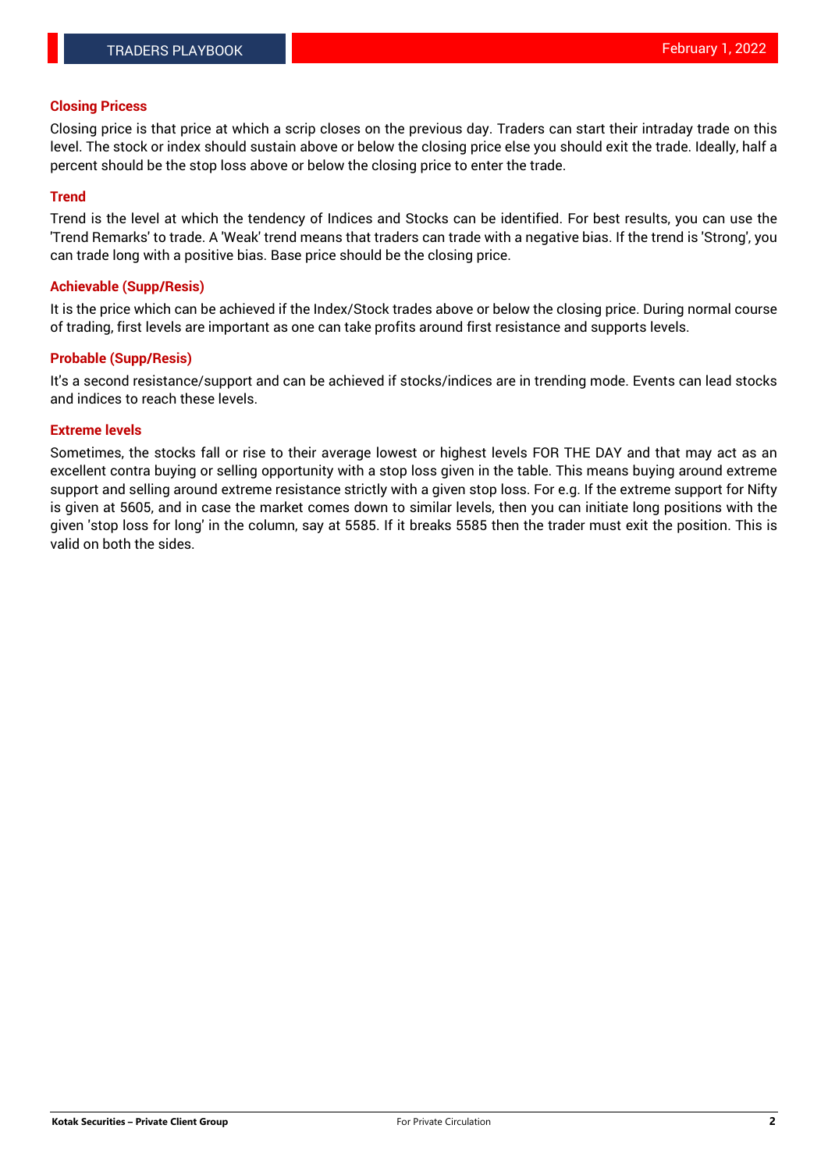## **Closing Pricess**

Closing price is that price at which a scrip closes on the previous day. Traders can start their intraday trade on this level. The stock or index should sustain above or below the closing price else you should exit the trade. Ideally, half a percent should be the stop loss above or below the closing price to enter the trade.

#### **Trend**

Trend is the level at which the tendency of Indices and Stocks can be identified. For best results, you can use the 'Trend Remarks' to trade. A 'Weak' trend means that traders can trade with a negative bias. If the trend is 'Strong', you can trade long with a positive bias. Base price should be the closing price.

### **Achievable (Supp/Resis)**

It is the price which can be achieved if the Index/Stock trades above or below the closing price. During normal course of trading, first levels are important as one can take profits around first resistance and supports levels.

# **Probable (Supp/Resis)**

It's a second resistance/support and can be achieved if stocks/indices are in trending mode. Events can lead stocks and indices to reach these levels.

#### **Extreme levels**

Sometimes, the stocks fall or rise to their average lowest or highest levels FOR THE DAY and that may act as an excellent contra buying or selling opportunity with a stop loss given in the table. This means buying around extreme support and selling around extreme resistance strictly with a given stop loss. For e.g. If the extreme support for Nifty is given at 5605, and in case the market comes down to similar levels, then you can initiate long positions with the given 'stop loss for long' in the column, say at 5585. If it breaks 5585 then the trader must exit the position. This is valid on both the sides.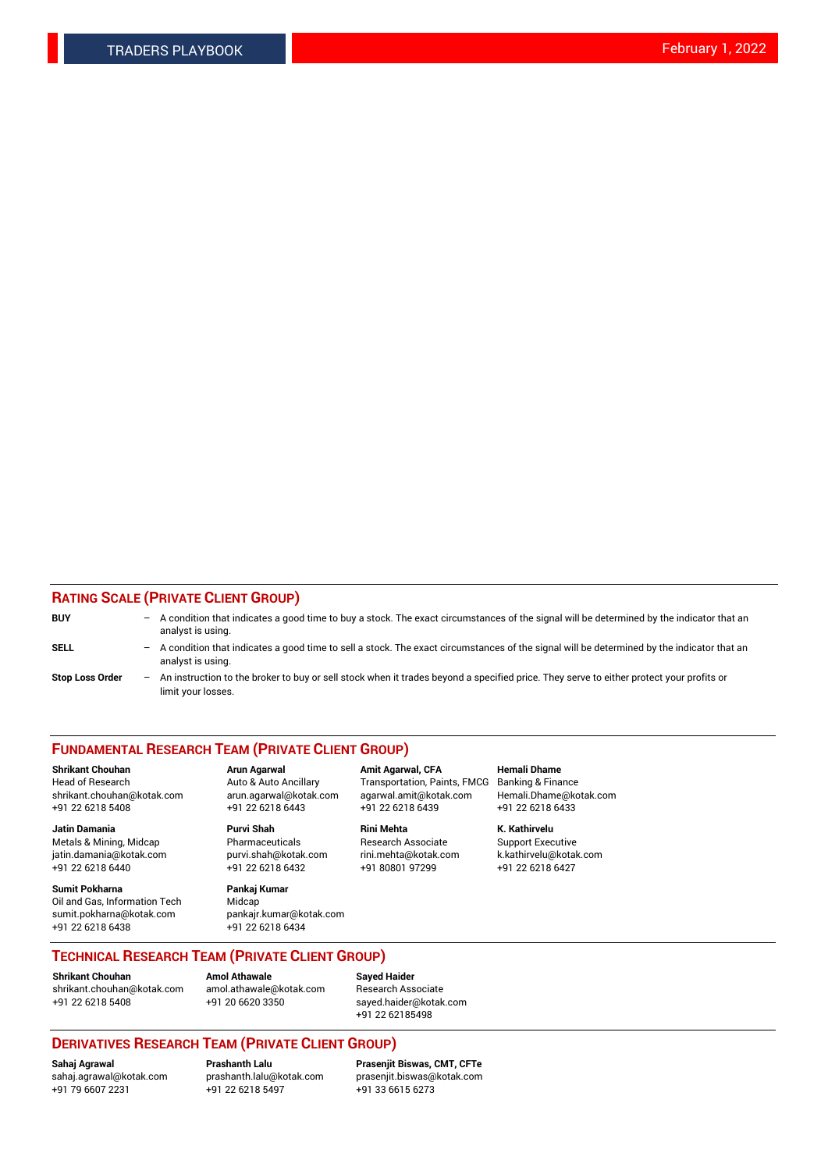# **RATING SCALE (PRIVATE CLIENT GROUP)**

| <b>BUY</b>             | $-$ A condition that indicates a good time to buy a stock. The exact circumstances of the signal will be determined by the indicator that an<br>analyst is using. |
|------------------------|-------------------------------------------------------------------------------------------------------------------------------------------------------------------|
| <b>SELL</b>            | - A condition that indicates a good time to sell a stock. The exact circumstances of the signal will be determined by the indicator that an<br>analyst is using.  |
| <b>Stop Loss Order</b> | - An instruction to the broker to buy or sell stock when it trades beyond a specified price. They serve to either protect your profits or<br>limit your losses.   |

#### **FUNDAMENTAL RESEARCH TEAM (PRIVATE CLIENT GROUP)**

**Shrikant Chouhan Arun Agarwal Amit Agarwal, CFA Hemali Dhame** Head of Research **Auto & Auto Ancillary** Transportation, Paints, FMCG Banking & Finance shrikant.chouhan@kotak.com arun.agarwal@kotak.com agarwal.amit@kotak.com Hemali.Dhame@kotak.com +91 22 6218 5408 +91 22 6218 6443 +91 22 6218 6439 +91 22 6218 6433

**Jatin Damania Purvi Shah Rini Mehta K. Kathirvelu** Metals & Mining, Midcap **Pharmaceuticals** Research Associate Support Executive jatin.damania@kotak.com [purvi.shah@kotak.com](mailto:purvi.shah@kotak.com) rini.mehta@kotak.com [k.kathirvelu@kotak.com](mailto:k.kathirvelu@kotak.com) +91 22 6218 6440 +91 22 6218 6432 +91 80801 97299 +91 22 6218 6427

**Sumit Pokharna Pankaj Kumar** Oil and Gas, Information Tech Midcap<br>sumit.pokharna@kotak.com bankair. +91 22 6218 6438 +91 22 6218 6434

sumit.pokharna@kotak.com pankajr.kumar@kotak.com

**TECHNICAL RESEARCH TEAM (PRIVATE CLIENT GROUP)**

**Shrikant Chouhan Amol Athawale**<br> **Amol Athawale** @kotak.com **Busisms** Research Ass [shrikant.chouhan@kotak.com](mailto:shrikant.chouhan@kotak.com) [amol.athawale@kotak.com](mailto:amol.athawale@kotak.com) Research Associate +91 22 6218 5408 +91 20 6620 3350 [sayed.haider@kotak.com](mailto:sayed.haider@kotak.com)

+91 22 62185498

# **DERIVATIVES RESEARCH TEAM (PRIVATE CLIENT GROUP)**

 $+91$  22 6218 5497

**Sahaj Agrawal Prashanth Lalu Prasenjit Biswas, CMT, CFTe** [sahaj.agrawal@kotak.com](mailto:sahaj.agrawal@kotak.com) [prashanth.lalu@kotak.com](mailto:prashanth.lalu@kotak.com) [prasenjit.biswas@kotak.com](mailto:prasenjit.biswas@kotak.com)